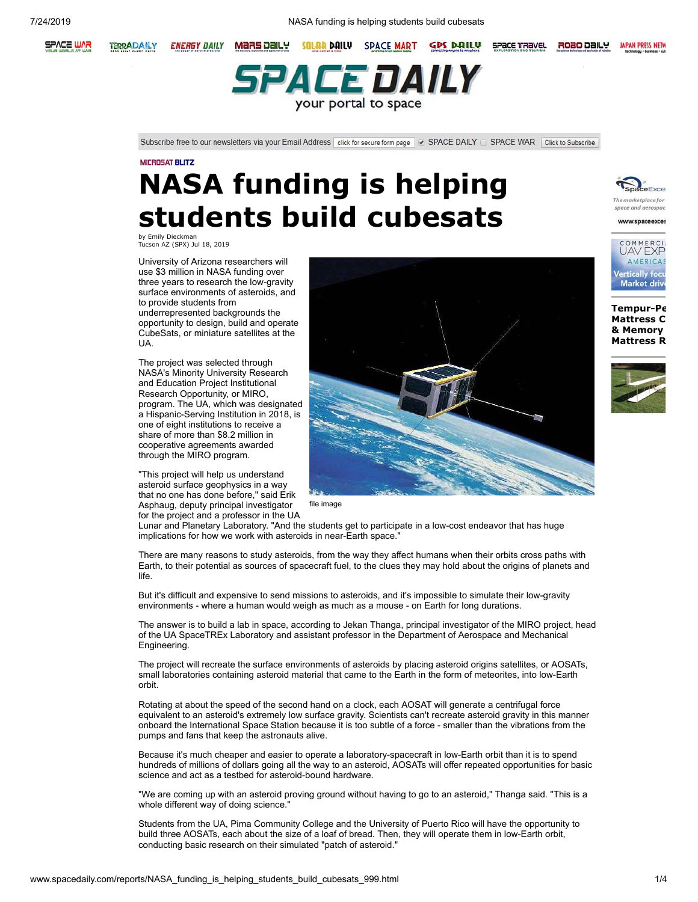7/24/2019 NASA funding is helping students build cubesats



**TERRADAILY ENERGY DAILY** MaRS Daily



Subscribe free to our newsletters via your Email Address click for secure form page v SPACE DAILY C SPACE WAR Click to Subscribe

# **NASA funding is helping students build cubesats**

by Emily Dieckman Tucson AZ (SPX) Jul 18, 2019

University of Arizona researchers will use \$3 million in NASA funding over three years to research the low-gravity surface environments of asteroids, and to provide students from underrepresented backgrounds the opportunity to design, build and operate CubeSats, or miniature satellites at the UA.

The project was selected through NASA's Minority University Research and Education Project Institutional Research Opportunity, or MIRO, program. The UA, which was designated a Hispanic-Serving Institution in 2018, is one of eight institutions to receive a share of more than \$8.2 million in cooperative agreements awarded through the MIRO program.

"This project will help us understand asteroid surface geophysics in a way that no one has done before," said Erik Asphaug, deputy principal investigator for the project and a professor in the UA



SPACE TRAVEL

ROBO DAILY

file image

Lunar and Planetary Laboratory. "And the students get to participate in a low-cost endeavor that has huge implications for how we work with asteroids in near-Earth space."

There are many reasons to study asteroids, from the way they affect humans when their orbits cross paths with Earth, to their potential as sources of spacecraft fuel, to the clues they may hold about the origins of planets and life.

But it's difficult and expensive to send missions to asteroids, and it's impossible to simulate their low-gravity environments - where a human would weigh as much as a mouse - on Earth for long durations.

The answer is to build a lab in space, according to Jekan Thanga, principal investigator of the MIRO project, head of the UA SpaceTREx Laboratory and assistant professor in the Department of Aerospace and Mechanical Engineering.

The project will recreate the surface environments of asteroids by placing asteroid origins satellites, or AOSATs, small laboratories containing asteroid material that came to the Earth in the form of meteorites, into low-Earth orbit.

Rotating at about the speed of the second hand on a clock, each AOSAT will generate a centrifugal force equivalent to an asteroid's extremely low surface gravity. Scientists can't recreate asteroid gravity in this manner onboard the International Space Station because it is too subtle of a force - smaller than the vibrations from the pumps and fans that keep the astronauts alive.

Because it's much cheaper and easier to operate a laboratory-spacecraft in low-Earth orbit than it is to spend hundreds of millions of dollars going all the way to an asteroid, AOSATs will offer repeated opportunities for basic science and act as a testbed for asteroid-bound hardware.

"We are coming up with an asteroid proving ground without having to go to an asteroid," Thanga said. "This is a whole different way of doing science."

Students from the UA, Pima Community College and the University of Puerto Rico will have the opportunity to build three AOSATs, each about the size of a loaf of bread. Then, they will operate them in low-Earth orbit, conducting basic research on their simulated "patch of asteroid."



**JAPAN PRESS NETW** 





**[Tempur-Pe](http://www.spacedaily.com/tempurpedic-mattress-comparison.htm) Mattress C [& Memory](http://www.spacedaily.com/Memory_Foam_Mattress_Review.html)  Mattress R**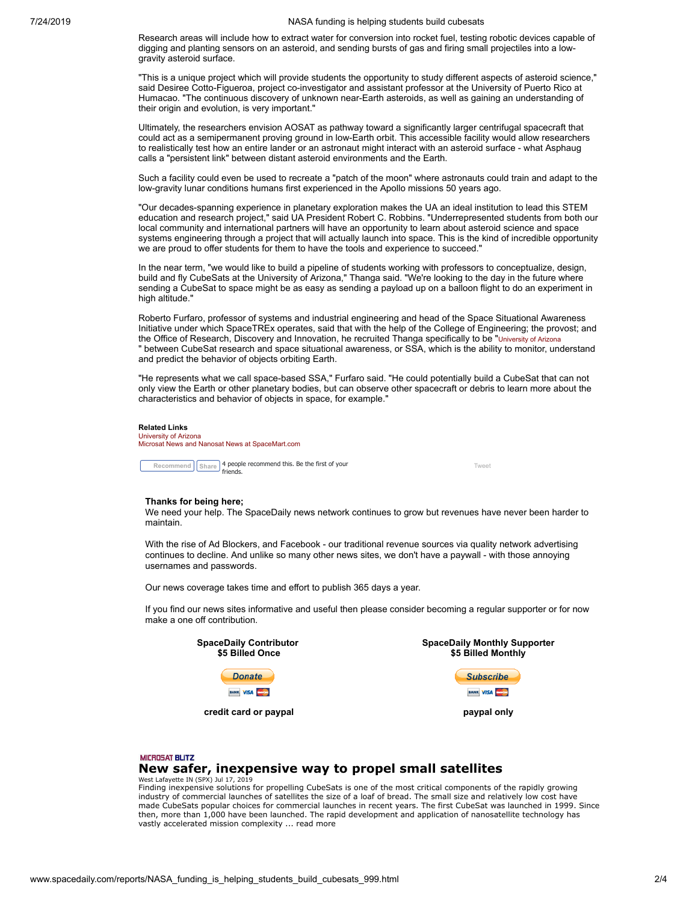Research areas will include how to extract water for conversion into rocket fuel, testing robotic devices capable of digging and planting sensors on an asteroid, and sending bursts of gas and firing small projectiles into a lowgravity asteroid surface.

"This is a unique project which will provide students the opportunity to study different aspects of asteroid science," said Desiree Cotto-Figueroa, project co-investigator and assistant professor at the University of Puerto Rico at Humacao. "The continuous discovery of unknown near-Earth asteroids, as well as gaining an understanding of their origin and evolution, is very important."

Ultimately, the researchers envision AOSAT as pathway toward a significantly larger centrifugal spacecraft that could act as a semipermanent proving ground in low-Earth orbit. This accessible facility would allow researchers to realistically test how an entire lander or an astronaut might interact with an asteroid surface - what Asphaug calls a "persistent link" between distant asteroid environments and the Earth.

Such a facility could even be used to recreate a "patch of the moon" where astronauts could train and adapt to the low-gravity lunar conditions humans first experienced in the Apollo missions 50 years ago.

"Our decades-spanning experience in planetary exploration makes the UA an ideal institution to lead this STEM education and research project," said UA President Robert C. Robbins. "Underrepresented students from both our local community and international partners will have an opportunity to learn about asteroid science and space systems engineering through a project that will actually launch into space. This is the kind of incredible opportunity we are proud to offer students for them to have the tools and experience to succeed."

In the near term, "we would like to build a pipeline of students working with professors to conceptualize, design, build and fly CubeSats at the University of Arizona," Thanga said. "We're looking to the day in the future where sending a CubeSat to space might be as easy as sending a payload up on a balloon flight to do an experiment in high altitude."

Roberto Furfaro, professor of systems and industrial engineering and head of the Space Situational Awareness Initiative under which SpaceTREx operates, said that with the help of the College of Engineering; the provost; and the Office of Research, Discovery and Innovation, he recruited Thanga specifically to be "[University of Arizona](http://www.arizona.edu/?_ga=2.190591144.289571651.1563425555-1329437694.1552972724) " between CubeSat research and space situational awareness, or SSA, which is the ability to monitor, understand and predict the behavior of objects orbiting Earth.

"He represents what we call space-based SSA," Furfaro said. "He could potentially build a CubeSat that can not only view the Earth or other planetary bodies, but can observe other spacecraft or debris to learn more about the characteristics and behavior of objects in space, for example."

### **Related Links**

[University of Arizona](http://www.arizona.edu/?_ga=2.190591144.289571651.1563425555-1329437694.1552972724) [Microsat News and Nanosat News at SpaceMart.com](http://www.spacedaily.com/MicroSat_Blitz.html)

**Recommend**  $\left[\frac{\text{Share}}{\text{linear}}\right]$  $\left[\frac{\text{Share}}{\text{linear}}\right]$  $\left[\frac{\text{Share}}{\text{linear}}\right]$  **4 people recommend this. Be the first of your friends.** 

**Thanks for being here;**

We need your help. The SpaceDaily news network continues to grow but revenues have never been harder to maintain.

With the rise of Ad Blockers, and Facebook - our traditional revenue sources via quality network advertising continues to decline. And unlike so many other news sites, we don't have a paywall - with those annoying usernames and passwords.

Our news coverage takes time and effort to publish 365 days a year.

If you find our news sites informative and useful then please consider becoming a regular supporter or for now make a one off contribution.



#### **MICROSAT BLITZ [New safer, inexpensive way to propel small satellites](http://www.spacedaily.com/reports/New_safer_inexpensive_way_to_propel_small_satellites_999.html)** West Lafayette IN (SPX) Jul 17, 2019

Finding inexpensive solutions for propelling CubeSats is one of the most critical components of the rapidly growing industry of commercial launches of satellites the size of a loaf of bread. The small size and relatively low cost have made CubeSats popular choices for commercial launches in recent years. The first CubeSat was launched in 1999. Since then, more than 1,000 have been launched. The rapid development and application of nanosatellite technology has vastly accelerated mission complexity ... read [more](http://www.spacedaily.com/reports/New_safer_inexpensive_way_to_propel_small_satellites_999.html)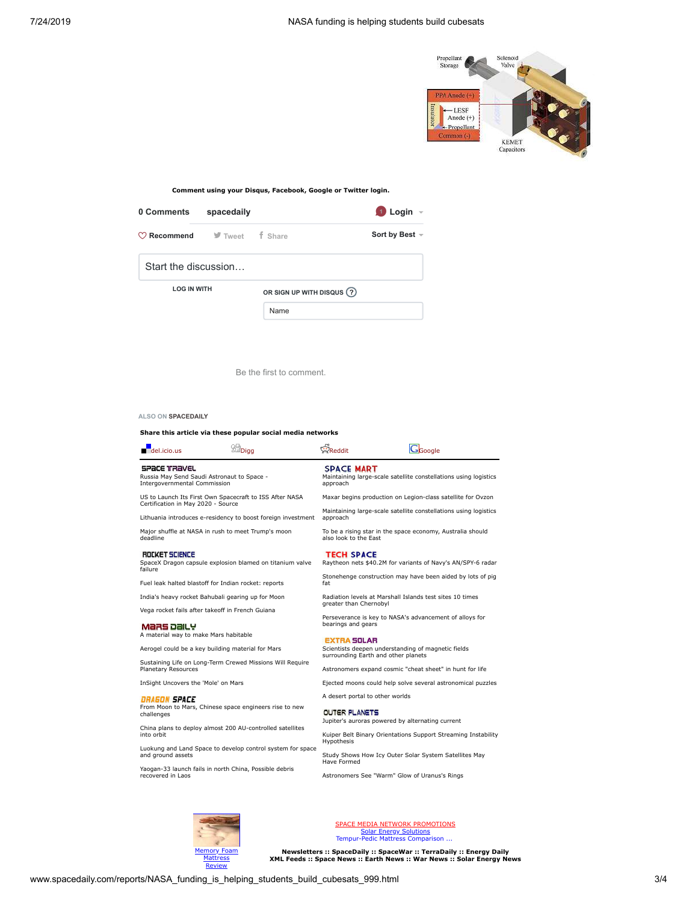

**Comment using your Disqus, Facebook, Google or Twitter login.**

| 0 Comments                                                               | spacedaily |                            | $\bigcirc$ Login $\lnot$ |
|--------------------------------------------------------------------------|------------|----------------------------|--------------------------|
| $\heartsuit$ <b>Recommend</b> $\heartsuit$ Tweet $\qquad$ <b>f</b> Share |            |                            | Sort by Best $\sim$      |
| Start the discussion                                                     |            |                            |                          |
| <b>LOG IN WITH</b>                                                       |            | OR SIGN UP WITH DISQUS (?) |                          |
|                                                                          |            | Name                       |                          |

Be the first to comment.

#### **ALSO ON SPACEDAILY**

l,

## **Share this article via these popular social media networks**

| $\blacksquare$ del.icio.us                                                                                                                                                                                                                                                                                                                                                       | <b>Sur</b> Digg                                            | Reddit                                                                                                                                                                                                                                                                                                                                                                                      | Google                                                                                                                                                                                                                                                                                     |  |
|----------------------------------------------------------------------------------------------------------------------------------------------------------------------------------------------------------------------------------------------------------------------------------------------------------------------------------------------------------------------------------|------------------------------------------------------------|---------------------------------------------------------------------------------------------------------------------------------------------------------------------------------------------------------------------------------------------------------------------------------------------------------------------------------------------------------------------------------------------|--------------------------------------------------------------------------------------------------------------------------------------------------------------------------------------------------------------------------------------------------------------------------------------------|--|
| SPACE TRAVEL<br>Russia May Send Saudi Astronaut to Space -<br>Intergovernmental Commission                                                                                                                                                                                                                                                                                       |                                                            | <b>SPACE MART</b><br>Maintaining large-scale satellite constellations using logistics<br>approach                                                                                                                                                                                                                                                                                           |                                                                                                                                                                                                                                                                                            |  |
| US to Launch Its First Own Spacecraft to ISS After NASA<br>Certification in May 2020 - Source<br>Lithuania introduces e-residency to boost foreign investment<br>Major shuffle at NASA in rush to meet Trump's moon<br>deadline<br>ROCKET SCIENCE<br>SpaceX Dragon capsule explosion blamed on titanium valve<br>failure<br>Fuel leak halted blastoff for Indian rocket: reports |                                                            | Maxar begins production on Legion-class satellite for Ovzon<br>Maintaining large-scale satellite constellations using logistics<br>approach<br>To be a rising star in the space economy, Australia should<br>also look to the East<br><b>TECH SPACE</b><br>Raytheon nets \$40.2M for variants of Navy's AN/SPY-6 radar<br>Stonehenge construction may have been aided by lots of pig<br>fat |                                                                                                                                                                                                                                                                                            |  |
| India's heavy rocket Bahubali gearing up for Moon<br>Vega rocket fails after takeoff in French Guiana<br>MaRS Daily<br>A material way to make Mars habitable<br>Aerogel could be a key building material for Mars<br>Sustaining Life on Long-Term Crewed Missions Will Require<br>Planetary Resources                                                                            |                                                            | Radiation levels at Marshall Islands test sites 10 times<br>greater than Chernobyl<br>Perseverance is key to NASA's advancement of alloys for<br>bearings and gears<br><b>EXTRA SOLAR</b><br>Scientists deepen understanding of magnetic fields<br>surrounding Earth and other planets<br>Astronomers expand cosmic "cheat sheet" in hunt for life                                          |                                                                                                                                                                                                                                                                                            |  |
| InSight Uncovers the 'Mole' on Mars<br>DRAGON SPACE<br>From Moon to Mars, Chinese space engineers rise to new<br>challenges<br>China plans to deploy almost 200 AU-controlled satellites<br>into orbit<br>and ground assets<br>Yaogan-33 launch fails in north China, Possible debris<br>recovered in Laos                                                                       | Luokung and Land Space to develop control system for space | A desert portal to other worlds<br><b>OUTER PLANETS</b><br>Hypothesis<br>Have Formed                                                                                                                                                                                                                                                                                                        | Ejected moons could help solve several astronomical puzzles<br>Jupiter's auroras powered by alternating current<br>Kuiper Belt Binary Orientations Support Streaming Instability<br>Study Shows How Icy Outer Solar System Satellites May<br>Astronomers See "Warm" Glow of Uranus's Rings |  |



SPACE [MEDIA NETWORK](mailto:advertise@spacedaily.com) PROMOTIONS Solar Energy [Solutions](http://www.spacedaily.com/solar_energy_solutions.html)<br>[Tempur-Pedic](http://www.spacedaily.com/tempurpedic-mattress-comparison.htm) Mattress Comparison ...

**Newsletters :: [SpaceDaily :: SpaceWar :: TerraDaily :: Energy Daily](http://eepurl.com/8cf_v) XML Feeds :: [Space News](http://www.spacedaily.com/spacedaily.xml) :: [Earth News](http://www.terradaily.com/terradaily.xml) :: [War News](http://www.spacewar.com/spacewar.xml) :: [Solar Energy News](http://www.solardaily.com/solardaily.xml)**